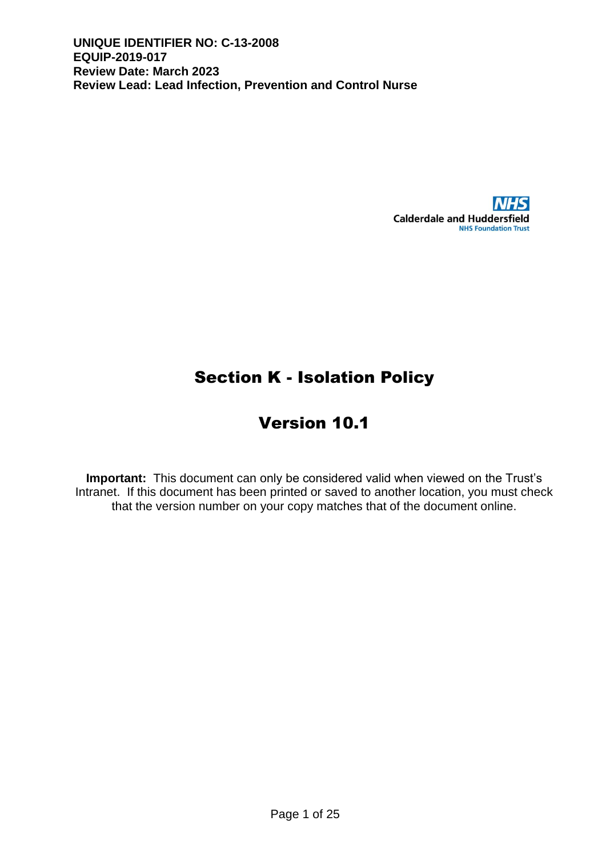

# Section K - Isolation Policy

# Version 10.1

**Important:** This document can only be considered valid when viewed on the Trust's Intranet. If this document has been printed or saved to another location, you must check that the version number on your copy matches that of the document online.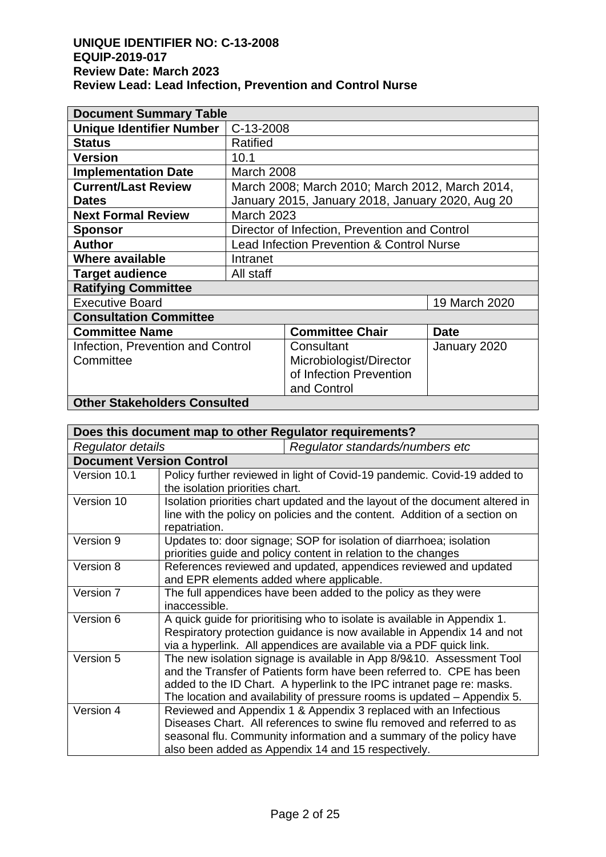| <b>Document Summary Table</b>       |                                           |                                                  |              |
|-------------------------------------|-------------------------------------------|--------------------------------------------------|--------------|
| <b>Unique Identifier Number</b>     | C-13-2008                                 |                                                  |              |
| <b>Status</b>                       | Ratified                                  |                                                  |              |
| <b>Version</b>                      | 10.1                                      |                                                  |              |
| <b>Implementation Date</b>          | March 2008                                |                                                  |              |
| <b>Current/Last Review</b>          |                                           | March 2008; March 2010; March 2012, March 2014,  |              |
| <b>Dates</b>                        |                                           | January 2015, January 2018, January 2020, Aug 20 |              |
| <b>Next Formal Review</b>           | <b>March 2023</b>                         |                                                  |              |
| <b>Sponsor</b>                      |                                           | Director of Infection, Prevention and Control    |              |
| <b>Author</b>                       | Lead Infection Prevention & Control Nurse |                                                  |              |
| Where available                     | Intranet                                  |                                                  |              |
| <b>Target audience</b>              | All staff                                 |                                                  |              |
| <b>Ratifying Committee</b>          |                                           |                                                  |              |
| <b>Executive Board</b>              |                                           | 19 March 2020                                    |              |
| <b>Consultation Committee</b>       |                                           |                                                  |              |
| <b>Committee Name</b>               |                                           | <b>Committee Chair</b>                           | <b>Date</b>  |
| Infection, Prevention and Control   |                                           | Consultant                                       | January 2020 |
| Committee                           |                                           | Microbiologist/Director                          |              |
|                                     |                                           | of Infection Prevention                          |              |
|                                     |                                           | and Control                                      |              |
| <b>Other Stakeholders Consulted</b> |                                           |                                                  |              |

|                                 | Does this document map to other Regulator requirements?                                                                                                                                                                                                                                              |  |  |
|---------------------------------|------------------------------------------------------------------------------------------------------------------------------------------------------------------------------------------------------------------------------------------------------------------------------------------------------|--|--|
| <b>Regulator details</b>        | Regulator standards/numbers etc                                                                                                                                                                                                                                                                      |  |  |
| <b>Document Version Control</b> |                                                                                                                                                                                                                                                                                                      |  |  |
| Version 10.1                    | Policy further reviewed in light of Covid-19 pandemic. Covid-19 added to<br>the isolation priorities chart.                                                                                                                                                                                          |  |  |
| Version 10                      | Isolation priorities chart updated and the layout of the document altered in<br>line with the policy on policies and the content. Addition of a section on<br>repatriation.                                                                                                                          |  |  |
| Version 9                       | Updates to: door signage; SOP for isolation of diarrhoea; isolation<br>priorities guide and policy content in relation to the changes                                                                                                                                                                |  |  |
| Version 8                       | References reviewed and updated, appendices reviewed and updated<br>and EPR elements added where applicable.                                                                                                                                                                                         |  |  |
| Version 7                       | The full appendices have been added to the policy as they were<br>inaccessible.                                                                                                                                                                                                                      |  |  |
| Version 6                       | A quick guide for prioritising who to isolate is available in Appendix 1.<br>Respiratory protection guidance is now available in Appendix 14 and not<br>via a hyperlink. All appendices are available via a PDF quick link.                                                                          |  |  |
| Version 5                       | The new isolation signage is available in App 8/9&10. Assessment Tool<br>and the Transfer of Patients form have been referred to. CPE has been<br>added to the ID Chart. A hyperlink to the IPC intranet page re: masks.<br>The location and availability of pressure rooms is updated - Appendix 5. |  |  |
| Version 4                       | Reviewed and Appendix 1 & Appendix 3 replaced with an Infectious<br>Diseases Chart. All references to swine flu removed and referred to as<br>seasonal flu. Community information and a summary of the policy have<br>also been added as Appendix 14 and 15 respectively.                            |  |  |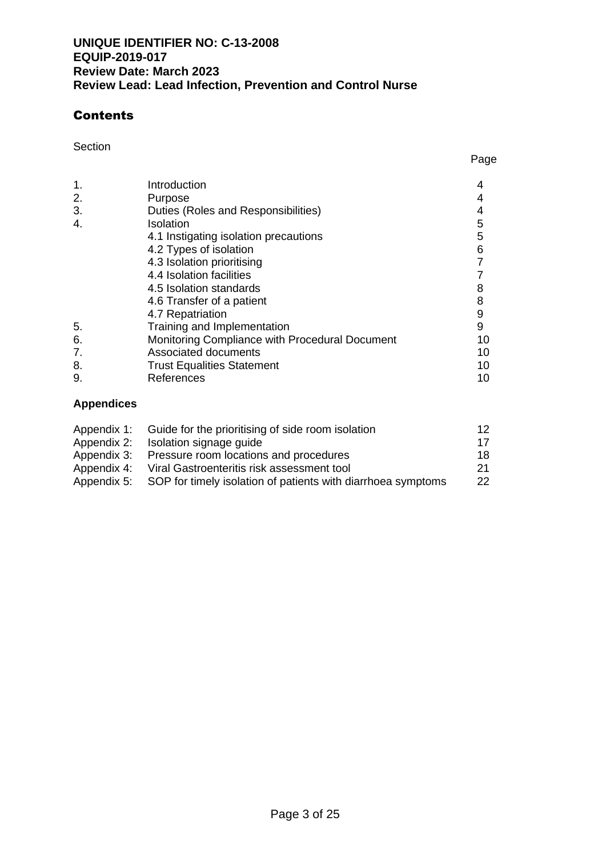## **Contents**

Section **Section Section Section Section Section Section Section** 

| 1.<br>2.<br>3. | Introduction<br>Purpose<br>Duties (Roles and Responsibilities) |                  |
|----------------|----------------------------------------------------------------|------------------|
| 4.             | Isolation                                                      | 5                |
|                | 4.1 Instigating isolation precautions                          | 5                |
|                | 4.2 Types of isolation                                         | 6                |
|                | 4.3 Isolation prioritising                                     |                  |
|                | 4.4 Isolation facilities                                       |                  |
|                | 4.5 Isolation standards                                        | 8                |
|                | 4.6 Transfer of a patient                                      | 8                |
|                | 4.7 Repatriation                                               | $\boldsymbol{9}$ |
| 5.             | Training and Implementation                                    | 9                |
| 6.             | Monitoring Compliance with Procedural Document                 | 10               |
| 7.             | <b>Associated documents</b>                                    | 10               |
| 8.             | <b>Trust Equalities Statement</b>                              | 10               |
| 9.             | References                                                     | 10               |

## **Appendices**

|             | Appendix 1: Guide for the prioritising of side room isolation | 12.  |
|-------------|---------------------------------------------------------------|------|
| Appendix 2: | Isolation signage guide                                       | 17   |
| Appendix 3: | Pressure room locations and procedures                        | 18.  |
| Appendix 4: | Viral Gastroenteritis risk assessment tool                    | -21- |
| Appendix 5: | SOP for timely isolation of patients with diarrhoea symptoms  | 22.  |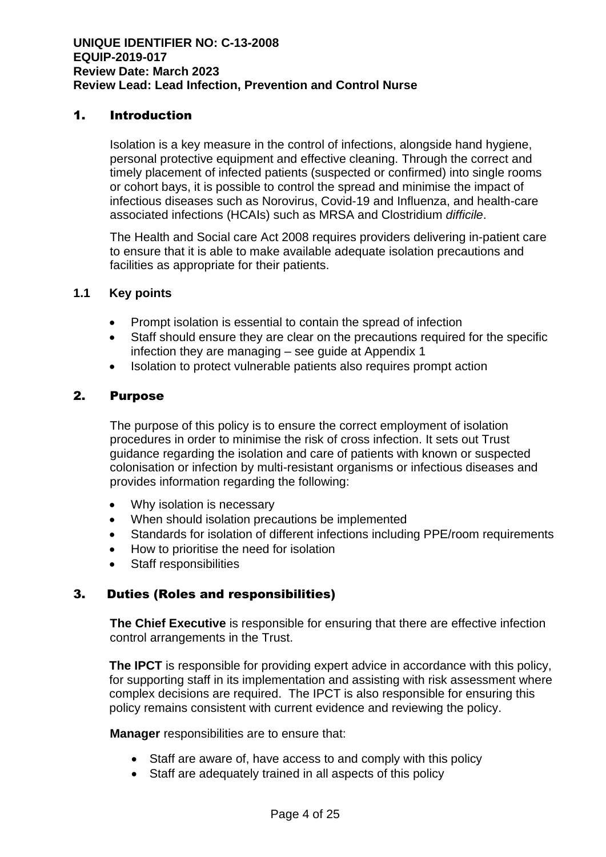## 1. Introduction

Isolation is a key measure in the control of infections, alongside hand hygiene, personal protective equipment and effective cleaning. Through the correct and timely placement of infected patients (suspected or confirmed) into single rooms or cohort bays, it is possible to control the spread and minimise the impact of infectious diseases such as Norovirus, Covid-19 and Influenza, and health-care associated infections (HCAIs) such as MRSA and Clostridium *difficile*.

The Health and Social care Act 2008 requires providers delivering in-patient care to ensure that it is able to make available adequate isolation precautions and facilities as appropriate for their patients.

#### **1.1 Key points**

- Prompt isolation is essential to contain the spread of infection
- Staff should ensure they are clear on the precautions required for the specific infection they are managing – see guide at Appendix 1
- Isolation to protect vulnerable patients also requires prompt action

#### 2. Purpose

The purpose of this policy is to ensure the correct employment of isolation procedures in order to minimise the risk of cross infection. It sets out Trust guidance regarding the isolation and care of patients with known or suspected colonisation or infection by multi-resistant organisms or infectious diseases and provides information regarding the following:

- Why isolation is necessary
- When should isolation precautions be implemented
- Standards for isolation of different infections including PPE/room requirements
- How to prioritise the need for isolation
- Staff responsibilities

## 3.Duties (Roles and responsibilities)

**The Chief Executive** is responsible for ensuring that there are effective infection control arrangements in the Trust.

**The IPCT** is responsible for providing expert advice in accordance with this policy, for supporting staff in its implementation and assisting with risk assessment where complex decisions are required. The IPCT is also responsible for ensuring this policy remains consistent with current evidence and reviewing the policy.

**Manager** responsibilities are to ensure that:

- Staff are aware of, have access to and comply with this policy
- Staff are adequately trained in all aspects of this policy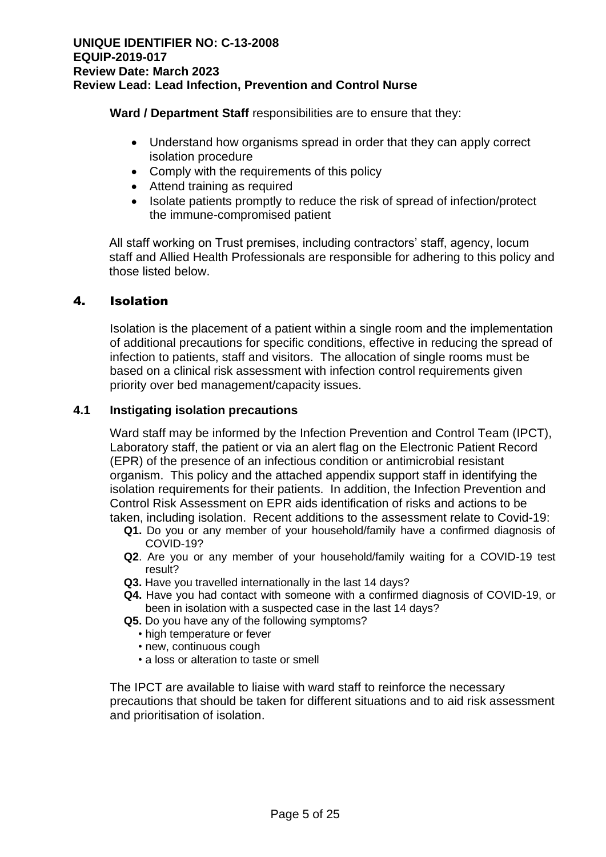**Ward / Department Staff** responsibilities are to ensure that they:

- Understand how organisms spread in order that they can apply correct isolation procedure
- Comply with the requirements of this policy
- Attend training as required
- Isolate patients promptly to reduce the risk of spread of infection/protect the immune-compromised patient

All staff working on Trust premises, including contractors' staff, agency, locum staff and Allied Health Professionals are responsible for adhering to this policy and those listed below.

## 4. Isolation

Isolation is the placement of a patient within a single room and the implementation of additional precautions for specific conditions, effective in reducing the spread of infection to patients, staff and visitors. The allocation of single rooms must be based on a clinical risk assessment with infection control requirements given priority over bed management/capacity issues.

## **4.1 Instigating isolation precautions**

Ward staff may be informed by the Infection Prevention and Control Team (IPCT), Laboratory staff, the patient or via an alert flag on the Electronic Patient Record (EPR) of the presence of an infectious condition or antimicrobial resistant organism. This policy and the attached appendix support staff in identifying the isolation requirements for their patients. In addition, the Infection Prevention and Control Risk Assessment on EPR aids identification of risks and actions to be taken, including isolation. Recent additions to the assessment relate to Covid-19:

- **Q1.** Do you or any member of your household/family have a confirmed diagnosis of COVID-19?
- **Q2**. Are you or any member of your household/family waiting for a COVID-19 test result?
- **Q3.** Have you travelled internationally in the last 14 days?
- **Q4.** Have you had contact with someone with a confirmed diagnosis of COVID-19, or been in isolation with a suspected case in the last 14 days?
- **Q5.** Do you have any of the following symptoms?
	- high temperature or fever
	- new, continuous cough
	- a loss or alteration to taste or smell

The IPCT are available to liaise with ward staff to reinforce the necessary precautions that should be taken for different situations and to aid risk assessment and prioritisation of isolation.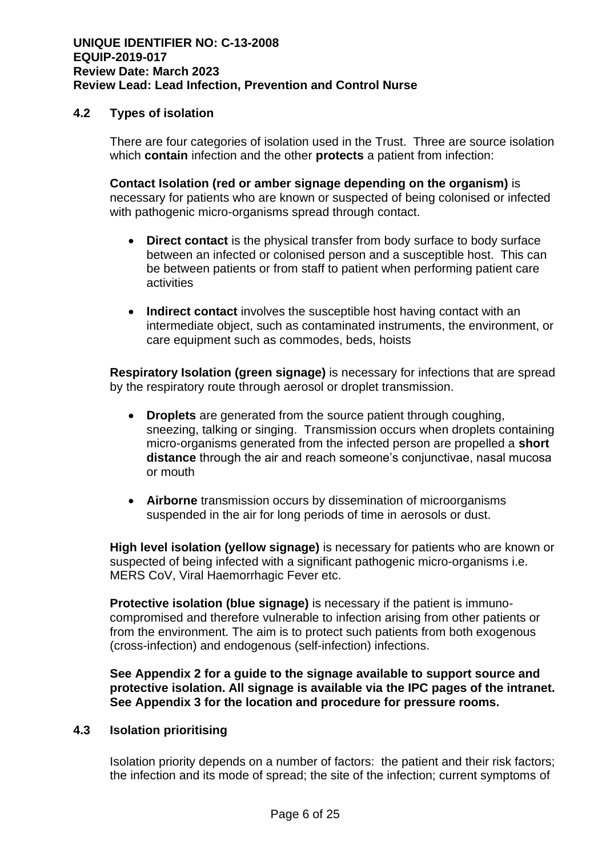## **4.2 Types of isolation**

There are four categories of isolation used in the Trust. Three are source isolation which **contain** infection and the other **protects** a patient from infection:

**Contact Isolation (red or amber signage depending on the organism)** is necessary for patients who are known or suspected of being colonised or infected with pathogenic micro-organisms spread through contact.

- **Direct contact** is the physical transfer from body surface to body surface between an infected or colonised person and a susceptible host. This can be between patients or from staff to patient when performing patient care activities
- **Indirect contact** involves the susceptible host having contact with an intermediate object, such as contaminated instruments, the environment, or care equipment such as commodes, beds, hoists

**Respiratory Isolation (green signage)** is necessary for infections that are spread by the respiratory route through aerosol or droplet transmission.

- **Droplets** are generated from the source patient through coughing, sneezing, talking or singing. Transmission occurs when droplets containing micro-organisms generated from the infected person are propelled a **short distance** through the air and reach someone's conjunctivae, nasal mucosa or mouth
- **Airborne** transmission occurs by dissemination of microorganisms suspended in the air for long periods of time in aerosols or dust.

**High level isolation (yellow signage)** is necessary for patients who are known or suspected of being infected with a significant pathogenic micro-organisms i.e. MERS CoV, Viral Haemorrhagic Fever etc.

**Protective isolation (blue signage)** is necessary if the patient is immunocompromised and therefore vulnerable to infection arising from other patients or from the environment. The aim is to protect such patients from both exogenous (cross-infection) and endogenous (self-infection) infections.

**See Appendix 2 for a guide to the signage available to support source and protective isolation. All signage is available via the IPC pages of the intranet. See Appendix 3 for the location and procedure for pressure rooms.**

#### **4.3 Isolation prioritising**

Isolation priority depends on a number of factors: the patient and their risk factors; the infection and its mode of spread; the site of the infection; current symptoms of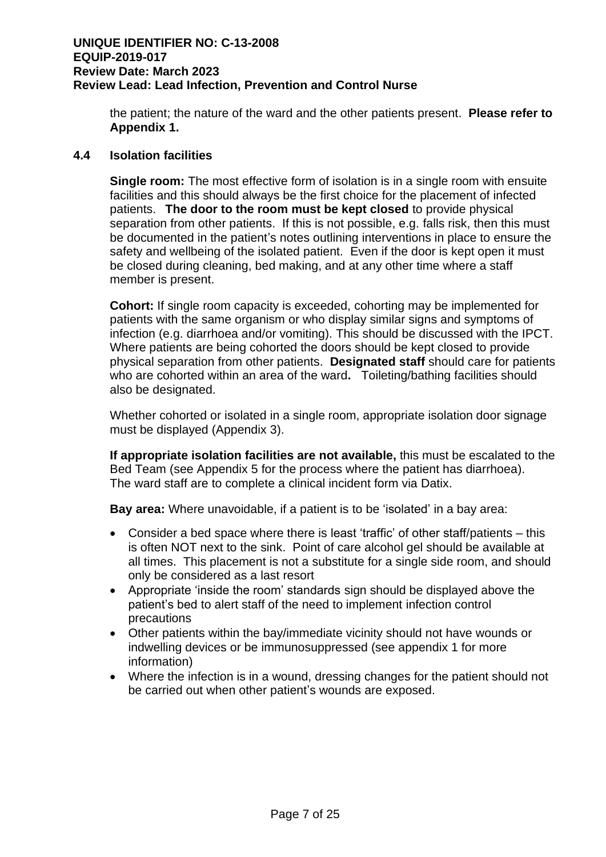the patient; the nature of the ward and the other patients present. **Please refer to Appendix 1.**

#### **4.4 Isolation facilities**

**Single room:** The most effective form of isolation is in a single room with ensuite facilities and this should always be the first choice for the placement of infected patients. **The door to the room must be kept closed** to provide physical separation from other patients. If this is not possible, e.g. falls risk, then this must be documented in the patient's notes outlining interventions in place to ensure the safety and wellbeing of the isolated patient. Even if the door is kept open it must be closed during cleaning, bed making, and at any other time where a staff member is present.

**Cohort:** If single room capacity is exceeded, cohorting may be implemented for patients with the same organism or who display similar signs and symptoms of infection (e.g. diarrhoea and/or vomiting). This should be discussed with the IPCT. Where patients are being cohorted the doors should be kept closed to provide physical separation from other patients. **Designated staff** should care for patients who are cohorted within an area of the ward**.** Toileting/bathing facilities should also be designated.

Whether cohorted or isolated in a single room, appropriate isolation door signage must be displayed (Appendix 3).

**If appropriate isolation facilities are not available,** this must be escalated to the Bed Team (see Appendix 5 for the process where the patient has diarrhoea). The ward staff are to complete a clinical incident form via Datix.

**Bay area:** Where unavoidable, if a patient is to be 'isolated' in a bay area:

- Consider a bed space where there is least 'traffic' of other staff/patients this is often NOT next to the sink. Point of care alcohol gel should be available at all times. This placement is not a substitute for a single side room, and should only be considered as a last resort
- Appropriate 'inside the room' standards sign should be displayed above the patient's bed to alert staff of the need to implement infection control precautions
- Other patients within the bay/immediate vicinity should not have wounds or indwelling devices or be immunosuppressed (see appendix 1 for more information)
- Where the infection is in a wound, dressing changes for the patient should not be carried out when other patient's wounds are exposed.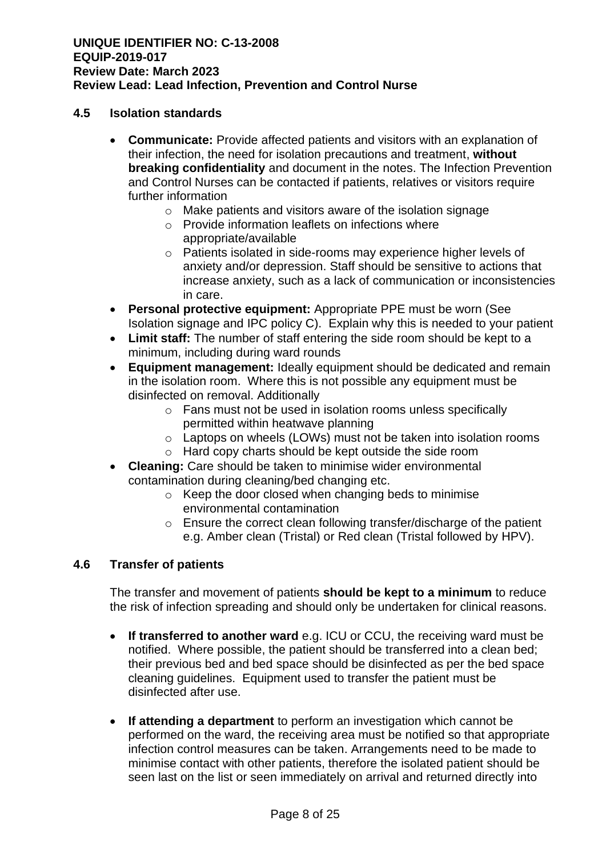#### **4.5 Isolation standards**

- **Communicate:** Provide affected patients and visitors with an explanation of their infection, the need for isolation precautions and treatment, **without breaking confidentiality** and document in the notes. The Infection Prevention and Control Nurses can be contacted if patients, relatives or visitors require further information
	- o Make patients and visitors aware of the isolation signage
	- o Provide information leaflets on infections where appropriate/available
	- o Patients isolated in side-rooms may experience higher levels of anxiety and/or depression. Staff should be sensitive to actions that increase anxiety, such as a lack of communication or inconsistencies in care.
- **Personal protective equipment:** Appropriate PPE must be worn (See Isolation signage and IPC policy C). Explain why this is needed to your patient
- **Limit staff:** The number of staff entering the side room should be kept to a minimum, including during ward rounds
- **Equipment management:** Ideally equipment should be dedicated and remain in the isolation room. Where this is not possible any equipment must be disinfected on removal. Additionally
	- o Fans must not be used in isolation rooms unless specifically permitted within heatwave planning
	- o Laptops on wheels (LOWs) must not be taken into isolation rooms
	- o Hard copy charts should be kept outside the side room
- **Cleaning:** Care should be taken to minimise wider environmental contamination during cleaning/bed changing etc.
	- o Keep the door closed when changing beds to minimise environmental contamination
	- o Ensure the correct clean following transfer/discharge of the patient e.g. Amber clean (Tristal) or Red clean (Tristal followed by HPV).

#### **4.6 Transfer of patients**

The transfer and movement of patients **should be kept to a minimum** to reduce the risk of infection spreading and should only be undertaken for clinical reasons.

- **If transferred to another ward** e.g. ICU or CCU, the receiving ward must be notified. Where possible, the patient should be transferred into a clean bed; their previous bed and bed space should be disinfected as per the bed space cleaning guidelines. Equipment used to transfer the patient must be disinfected after use.
- **If attending a department** to perform an investigation which cannot be performed on the ward, the receiving area must be notified so that appropriate infection control measures can be taken. Arrangements need to be made to minimise contact with other patients, therefore the isolated patient should be seen last on the list or seen immediately on arrival and returned directly into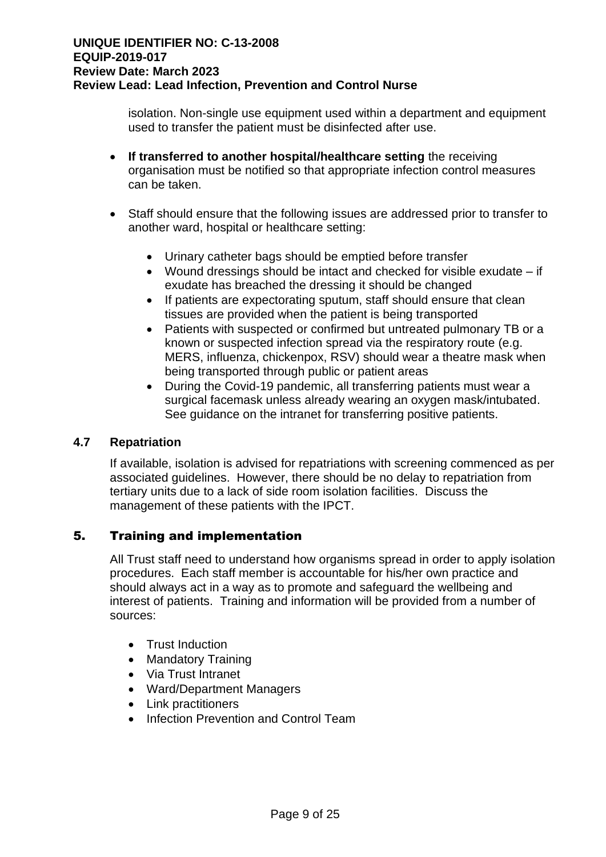isolation. Non-single use equipment used within a department and equipment used to transfer the patient must be disinfected after use.

- **If transferred to another hospital/healthcare setting** the receiving organisation must be notified so that appropriate infection control measures can be taken.
- Staff should ensure that the following issues are addressed prior to transfer to another ward, hospital or healthcare setting:
	- Urinary catheter bags should be emptied before transfer
	- Wound dressings should be intact and checked for visible exudate if exudate has breached the dressing it should be changed
	- If patients are expectorating sputum, staff should ensure that clean tissues are provided when the patient is being transported
	- Patients with suspected or confirmed but untreated pulmonary TB or a known or suspected infection spread via the respiratory route (e.g. MERS, influenza, chickenpox, RSV) should wear a theatre mask when being transported through public or patient areas
	- During the Covid-19 pandemic, all transferring patients must wear a surgical facemask unless already wearing an oxygen mask/intubated. See guidance on the intranet for transferring positive patients.

## **4.7 Repatriation**

If available, isolation is advised for repatriations with screening commenced as per associated guidelines. However, there should be no delay to repatriation from tertiary units due to a lack of side room isolation facilities. Discuss the management of these patients with the IPCT.

## 5. Training and implementation

All Trust staff need to understand how organisms spread in order to apply isolation procedures. Each staff member is accountable for his/her own practice and should always act in a way as to promote and safeguard the wellbeing and interest of patients. Training and information will be provided from a number of sources:

- Trust Induction
- Mandatory Training
- Via Trust Intranet
- Ward/Department Managers
- Link practitioners
- Infection Prevention and Control Team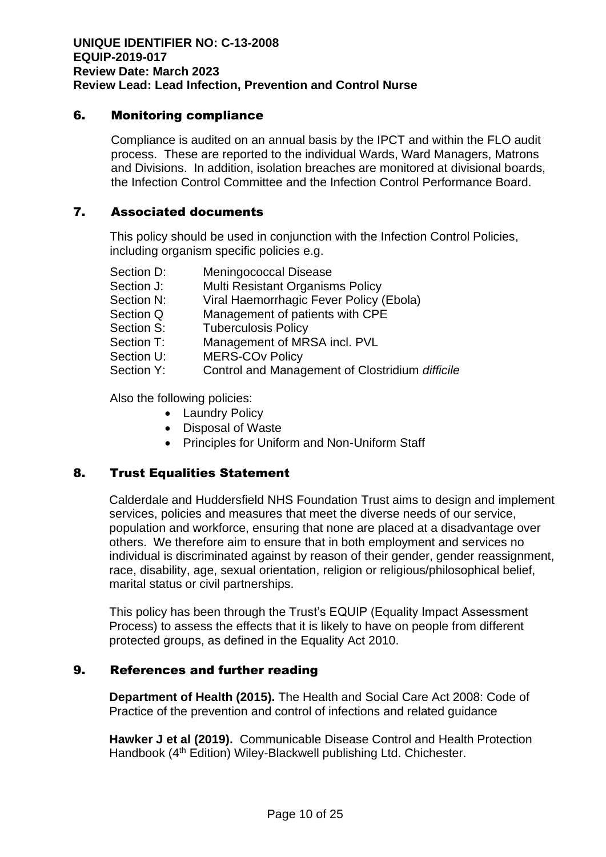## 6. Monitoring compliance

Compliance is audited on an annual basis by the IPCT and within the FLO audit process. These are reported to the individual Wards, Ward Managers, Matrons and Divisions. In addition, isolation breaches are monitored at divisional boards, the Infection Control Committee and the Infection Control Performance Board.

## 7. Associated documents

This policy should be used in conjunction with the Infection Control Policies, including organism specific policies e.g.

| Section D: | <b>Meningococcal Disease</b>                    |
|------------|-------------------------------------------------|
| Section J: | Multi Resistant Organisms Policy                |
| Section N: | Viral Haemorrhagic Fever Policy (Ebola)         |
| Section Q  | Management of patients with CPE                 |
| Section S: | <b>Tuberculosis Policy</b>                      |
| Section T: | Management of MRSA incl. PVL                    |
| Section U: | <b>MERS-COv Policy</b>                          |
| Section Y: | Control and Management of Clostridium difficile |

Also the following policies:

- Laundry Policy
- Disposal of Waste
- Principles for Uniform and Non-Uniform Staff

## 8. Trust Equalities Statement

Calderdale and Huddersfield NHS Foundation Trust aims to design and implement services, policies and measures that meet the diverse needs of our service, population and workforce, ensuring that none are placed at a disadvantage over others. We therefore aim to ensure that in both employment and services no individual is discriminated against by reason of their gender, gender reassignment, race, disability, age, sexual orientation, religion or religious/philosophical belief, marital status or civil partnerships.

This policy has been through the Trust's EQUIP (Equality Impact Assessment Process) to assess the effects that it is likely to have on people from different protected groups, as defined in the Equality Act 2010.

## 9. References and further reading

**Department of Health (2015).** The Health and Social Care Act 2008: Code of Practice of the prevention and control of infections and related guidance

**Hawker J et al (2019).** Communicable Disease Control and Health Protection Handbook (4<sup>th</sup> Edition) Wiley-Blackwell publishing Ltd. Chichester.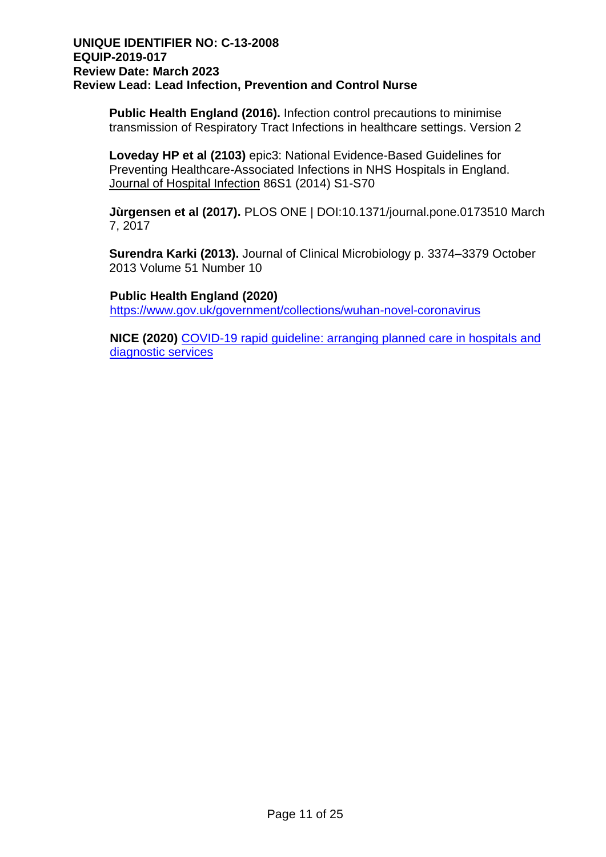**Public Health England (2016).** Infection control precautions to minimise transmission of Respiratory Tract Infections in healthcare settings. Version 2

**Loveday HP et al (2103)** epic3: National Evidence-Based Guidelines for Preventing Healthcare-Associated Infections in NHS Hospitals in England. Journal of Hospital Infection 86S1 (2014) S1-S70

**Jùrgensen et al (2017).** PLOS ONE | DOI:10.1371/journal.pone.0173510 March 7, 2017

**Surendra Karki (2013).** Journal of Clinical Microbiology p. 3374–3379 October 2013 Volume 51 Number 10

**Public Health England (2020)** <https://www.gov.uk/government/collections/wuhan-novel-coronavirus>

**NICE (2020)** [COVID-19 rapid guideline: arranging planned care in hospitals and](https://www.nice.org.uk/guidance/ng179)  [diagnostic services](https://www.nice.org.uk/guidance/ng179)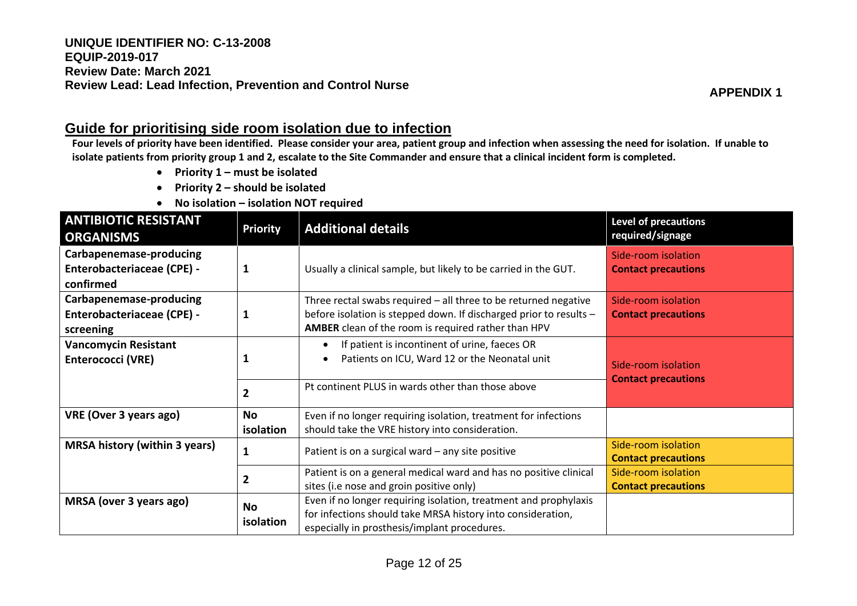## **Guide for prioritising side room isolation due to infection**

**Four levels of priority have been identified. Please consider your area, patient group and infection when assessing the need for isolation. If unable to isolate patients from priority group 1 and 2, escalate to the Site Commander and ensure that a clinical incident form is completed.** 

- **Priority 1 – must be isolated**
- **Priority 2 – should be isolated**
- **No isolation – isolation NOT required**

| <b>ANTIBIOTIC RESISTANT</b><br><b>ORGANISMS</b>                           | <b>Priority</b>        | <b>Additional details</b>                                                                                                                                                                    | <b>Level of precautions</b><br>required/signage   |
|---------------------------------------------------------------------------|------------------------|----------------------------------------------------------------------------------------------------------------------------------------------------------------------------------------------|---------------------------------------------------|
| Carbapenemase-producing<br><b>Enterobacteriaceae (CPE) -</b><br>confirmed |                        | Usually a clinical sample, but likely to be carried in the GUT.                                                                                                                              | Side-room isolation<br><b>Contact precautions</b> |
| Carbapenemase-producing<br><b>Enterobacteriaceae (CPE) -</b><br>screening |                        | Three rectal swabs required - all three to be returned negative<br>before isolation is stepped down. If discharged prior to results -<br>AMBER clean of the room is required rather than HPV | Side-room isolation<br><b>Contact precautions</b> |
| <b>Vancomycin Resistant</b><br><b>Enterococci (VRE)</b>                   |                        | If patient is incontinent of urine, faeces OR<br>Patients on ICU, Ward 12 or the Neonatal unit<br>$\bullet$                                                                                  | Side-room isolation<br><b>Contact precautions</b> |
|                                                                           | 2                      | Pt continent PLUS in wards other than those above                                                                                                                                            |                                                   |
| VRE (Over 3 years ago)                                                    | No<br>isolation        | Even if no longer requiring isolation, treatment for infections<br>should take the VRE history into consideration.                                                                           |                                                   |
| <b>MRSA history (within 3 years)</b>                                      |                        | Patient is on a surgical ward - any site positive                                                                                                                                            | Side-room isolation<br><b>Contact precautions</b> |
|                                                                           | 2                      | Patient is on a general medical ward and has no positive clinical<br>sites (i.e nose and groin positive only)                                                                                | Side-room isolation<br><b>Contact precautions</b> |
| MRSA (over 3 years ago)                                                   | <b>No</b><br>isolation | Even if no longer requiring isolation, treatment and prophylaxis<br>for infections should take MRSA history into consideration,<br>especially in prosthesis/implant procedures.              |                                                   |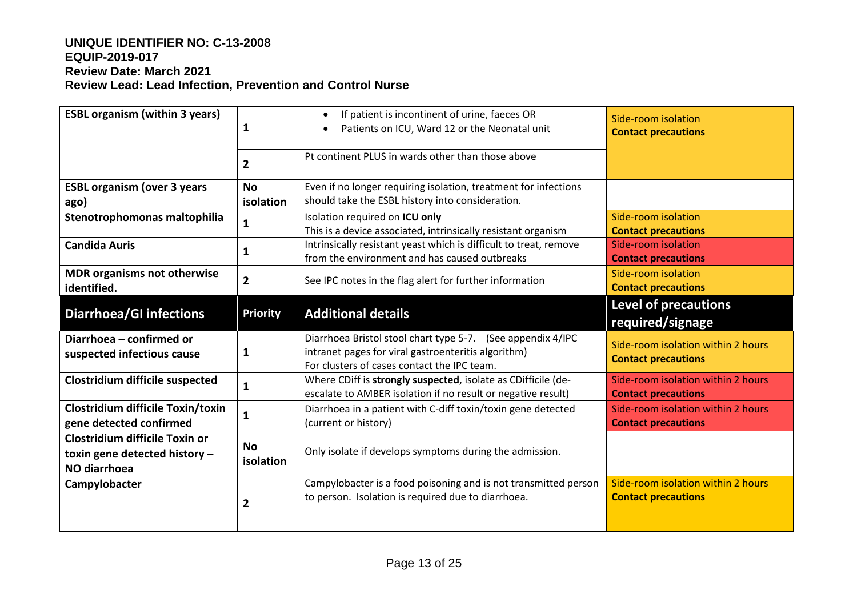| <b>ESBL organism (within 3 years)</b>                                           | $\mathbf{1}$           | If patient is incontinent of urine, faeces OR<br>$\bullet$<br>Patients on ICU, Ward 12 or the Neonatal unit                                                       | Side-room isolation<br><b>Contact precautions</b>                |
|---------------------------------------------------------------------------------|------------------------|-------------------------------------------------------------------------------------------------------------------------------------------------------------------|------------------------------------------------------------------|
|                                                                                 | $\overline{2}$         | Pt continent PLUS in wards other than those above                                                                                                                 |                                                                  |
| <b>ESBL organism (over 3 years</b><br>ago)                                      | <b>No</b><br>isolation | Even if no longer requiring isolation, treatment for infections<br>should take the ESBL history into consideration.                                               |                                                                  |
| Stenotrophomonas maltophilia                                                    | $\mathbf{1}$           | Isolation required on ICU only<br>This is a device associated, intrinsically resistant organism                                                                   | Side-room isolation<br><b>Contact precautions</b>                |
| <b>Candida Auris</b>                                                            | 1                      | Intrinsically resistant yeast which is difficult to treat, remove<br>from the environment and has caused outbreaks                                                | Side-room isolation<br><b>Contact precautions</b>                |
| <b>MDR organisms not otherwise</b><br>identified.                               | $\overline{2}$         | See IPC notes in the flag alert for further information                                                                                                           | Side-room isolation<br><b>Contact precautions</b>                |
| <b>Diarrhoea/GI infections</b>                                                  | <b>Priority</b>        | <b>Additional details</b>                                                                                                                                         | <b>Level of precautions</b><br>required/signage                  |
| Diarrhoea - confirmed or<br>suspected infectious cause                          | 1                      | Diarrhoea Bristol stool chart type 5-7. (See appendix 4/IPC<br>intranet pages for viral gastroenteritis algorithm)<br>For clusters of cases contact the IPC team. | Side-room isolation within 2 hours<br><b>Contact precautions</b> |
| Clostridium difficile suspected                                                 | $\mathbf{1}$           | Where CDiff is strongly suspected, isolate as CDifficile (de-<br>escalate to AMBER isolation if no result or negative result)                                     | Side-room isolation within 2 hours<br><b>Contact precautions</b> |
| Clostridium difficile Toxin/toxin<br>gene detected confirmed                    | $\mathbf{1}$           | Diarrhoea in a patient with C-diff toxin/toxin gene detected<br>(current or history)                                                                              | Side-room isolation within 2 hours<br><b>Contact precautions</b> |
| Clostridium difficile Toxin or<br>toxin gene detected history -<br>NO diarrhoea | <b>No</b><br>isolation | Only isolate if develops symptoms during the admission.                                                                                                           |                                                                  |
| Campylobacter                                                                   | $\overline{2}$         | Campylobacter is a food poisoning and is not transmitted person<br>to person. Isolation is required due to diarrhoea.                                             | Side-room isolation within 2 hours<br><b>Contact precautions</b> |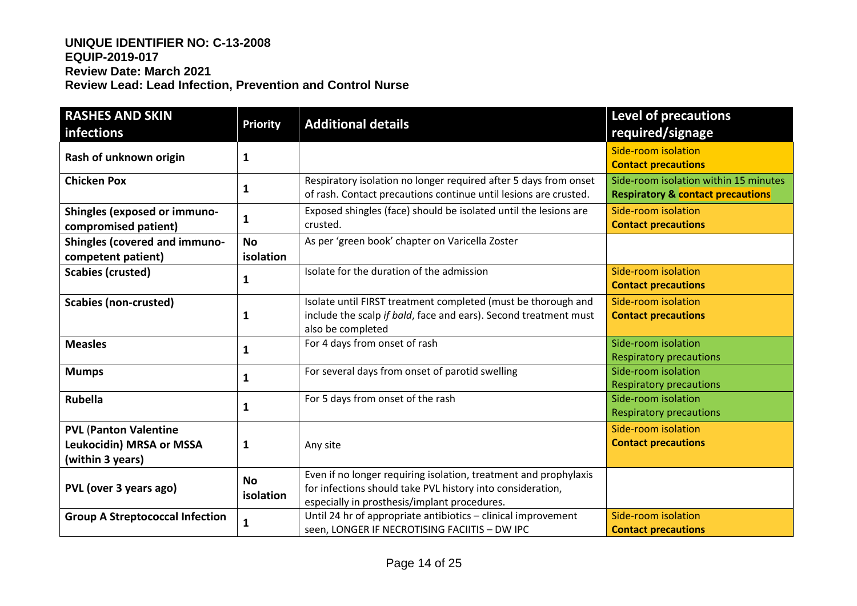| <b>RASHES AND SKIN</b><br>infections                                         | <b>Priority</b>        | <b>Additional details</b>                                                                                                                                                      | <b>Level of precautions</b><br>required/signage                                       |
|------------------------------------------------------------------------------|------------------------|--------------------------------------------------------------------------------------------------------------------------------------------------------------------------------|---------------------------------------------------------------------------------------|
| Rash of unknown origin                                                       | 1                      |                                                                                                                                                                                | Side-room isolation<br><b>Contact precautions</b>                                     |
| <b>Chicken Pox</b>                                                           | $\mathbf{1}$           | Respiratory isolation no longer required after 5 days from onset<br>of rash. Contact precautions continue until lesions are crusted.                                           | Side-room isolation within 15 minutes<br><b>Respiratory &amp; contact precautions</b> |
| Shingles (exposed or immuno-<br>compromised patient)                         | $\mathbf{1}$           | Exposed shingles (face) should be isolated until the lesions are<br>crusted.                                                                                                   | Side-room isolation<br><b>Contact precautions</b>                                     |
| <b>Shingles (covered and immuno-</b><br>competent patient)                   | <b>No</b><br>isolation | As per 'green book' chapter on Varicella Zoster                                                                                                                                |                                                                                       |
| <b>Scabies (crusted)</b>                                                     | 1                      | Isolate for the duration of the admission                                                                                                                                      | Side-room isolation<br><b>Contact precautions</b>                                     |
| <b>Scabies (non-crusted)</b>                                                 | 1                      | Isolate until FIRST treatment completed (must be thorough and<br>include the scalp if bald, face and ears). Second treatment must<br>also be completed                         | Side-room isolation<br><b>Contact precautions</b>                                     |
| <b>Measles</b>                                                               | $\mathbf{1}$           | For 4 days from onset of rash                                                                                                                                                  | Side-room isolation<br><b>Respiratory precautions</b>                                 |
| <b>Mumps</b>                                                                 | 1                      | For several days from onset of parotid swelling                                                                                                                                | Side-room isolation<br><b>Respiratory precautions</b>                                 |
| <b>Rubella</b>                                                               | 1                      | For 5 days from onset of the rash                                                                                                                                              | Side-room isolation<br><b>Respiratory precautions</b>                                 |
| <b>PVL (Panton Valentine</b><br>Leukocidin) MRSA or MSSA<br>(within 3 years) | $\mathbf{1}$           | Any site                                                                                                                                                                       | Side-room isolation<br><b>Contact precautions</b>                                     |
| PVL (over 3 years ago)                                                       | <b>No</b><br>isolation | Even if no longer requiring isolation, treatment and prophylaxis<br>for infections should take PVL history into consideration,<br>especially in prosthesis/implant procedures. |                                                                                       |
| <b>Group A Streptococcal Infection</b>                                       | $\mathbf{1}$           | Until 24 hr of appropriate antibiotics - clinical improvement<br>seen, LONGER IF NECROTISING FACIITIS - DW IPC                                                                 | Side-room isolation<br><b>Contact precautions</b>                                     |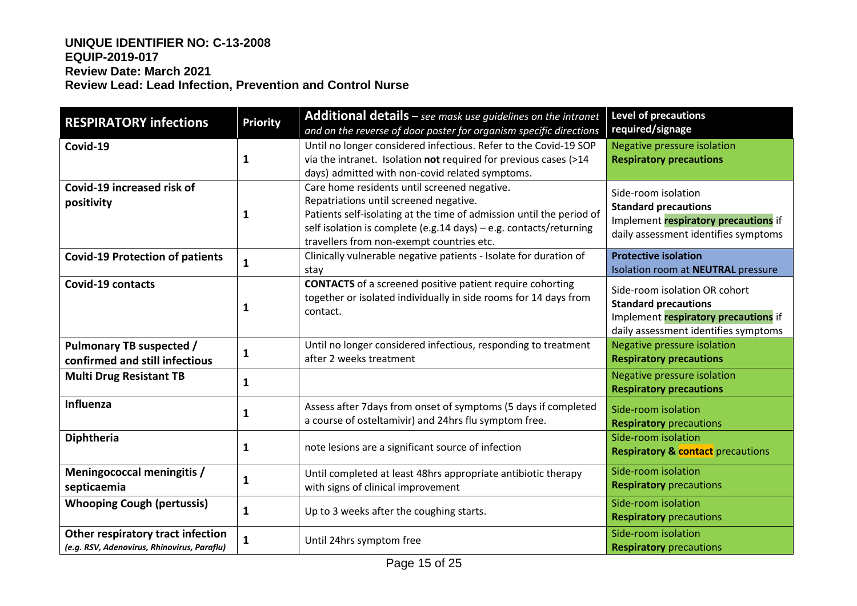| <b>RESPIRATORY infections</b>                                                    | <b>Priority</b> | Additional details - see mask use guidelines on the intranet<br>and on the reverse of door poster for organism specific directions                                                                                                                                                | <b>Level of precautions</b><br>required/signage                                                                                              |
|----------------------------------------------------------------------------------|-----------------|-----------------------------------------------------------------------------------------------------------------------------------------------------------------------------------------------------------------------------------------------------------------------------------|----------------------------------------------------------------------------------------------------------------------------------------------|
| Covid-19                                                                         | 1               | Until no longer considered infectious. Refer to the Covid-19 SOP<br>via the intranet. Isolation not required for previous cases (>14<br>days) admitted with non-covid related symptoms.                                                                                           | Negative pressure isolation<br><b>Respiratory precautions</b>                                                                                |
| Covid-19 increased risk of<br>positivity                                         | 1               | Care home residents until screened negative.<br>Repatriations until screened negative.<br>Patients self-isolating at the time of admission until the period of<br>self isolation is complete (e.g.14 days) - e.g. contacts/returning<br>travellers from non-exempt countries etc. | Side-room isolation<br><b>Standard precautions</b><br>Implement respiratory precautions if<br>daily assessment identifies symptoms           |
| <b>Covid-19 Protection of patients</b>                                           | $\mathbf{1}$    | Clinically vulnerable negative patients - Isolate for duration of<br>stay                                                                                                                                                                                                         | <b>Protective isolation</b><br>Isolation room at NEUTRAL pressure                                                                            |
| <b>Covid-19 contacts</b>                                                         | 1               | <b>CONTACTS</b> of a screened positive patient require cohorting<br>together or isolated individually in side rooms for 14 days from<br>contact.                                                                                                                                  | Side-room isolation OR cohort<br><b>Standard precautions</b><br>Implement respiratory precautions if<br>daily assessment identifies symptoms |
| Pulmonary TB suspected /<br>confirmed and still infectious                       | 1               | Until no longer considered infectious, responding to treatment<br>after 2 weeks treatment                                                                                                                                                                                         | Negative pressure isolation<br><b>Respiratory precautions</b>                                                                                |
| <b>Multi Drug Resistant TB</b>                                                   | 1               |                                                                                                                                                                                                                                                                                   | Negative pressure isolation<br><b>Respiratory precautions</b>                                                                                |
| Influenza                                                                        | 1               | Assess after 7days from onset of symptoms (5 days if completed<br>a course of osteltamivir) and 24hrs flu symptom free.                                                                                                                                                           | Side-room isolation<br><b>Respiratory</b> precautions                                                                                        |
| Diphtheria                                                                       | 1               | note lesions are a significant source of infection                                                                                                                                                                                                                                | Side-room isolation<br><b>Respiratory &amp; contact</b> precautions                                                                          |
| Meningococcal meningitis /<br>septicaemia                                        | 1               | Until completed at least 48hrs appropriate antibiotic therapy<br>with signs of clinical improvement                                                                                                                                                                               | Side-room isolation<br><b>Respiratory</b> precautions                                                                                        |
| <b>Whooping Cough (pertussis)</b>                                                | 1               | Up to 3 weeks after the coughing starts.                                                                                                                                                                                                                                          | Side-room isolation<br><b>Respiratory</b> precautions                                                                                        |
| Other respiratory tract infection<br>(e.g. RSV, Adenovirus, Rhinovirus, Paraflu) | 1               | Until 24hrs symptom free                                                                                                                                                                                                                                                          | Side-room isolation<br><b>Respiratory</b> precautions                                                                                        |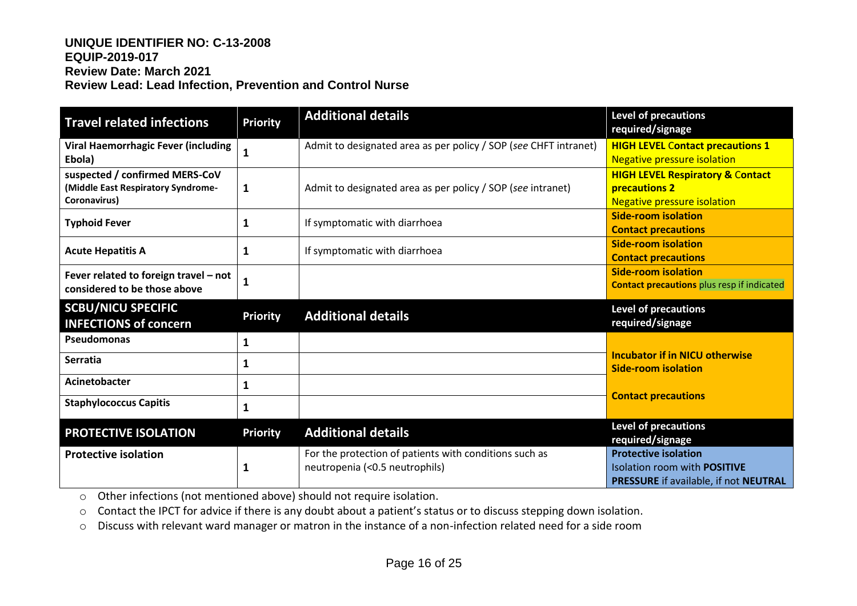| <b>Travel related infections</b>                                                     | <b>Priority</b> | <b>Additional details</b>                                        | Level of precautions<br>required/signage                                                           |
|--------------------------------------------------------------------------------------|-----------------|------------------------------------------------------------------|----------------------------------------------------------------------------------------------------|
| <b>Viral Haemorrhagic Fever (including</b><br>Ebola)                                 |                 | Admit to designated area as per policy / SOP (see CHFT intranet) | <b>HIGH LEVEL Contact precautions 1</b><br><b>Negative pressure isolation</b>                      |
| suspected / confirmed MERS-CoV<br>(Middle East Respiratory Syndrome-<br>Coronavirus) | 1               | Admit to designated area as per policy / SOP (see intranet)      | <b>HIGH LEVEL Respiratory &amp; Contact</b><br>precautions 2<br><b>Negative pressure isolation</b> |
| <b>Typhoid Fever</b>                                                                 |                 | If symptomatic with diarrhoea                                    | <b>Side-room isolation</b><br><b>Contact precautions</b>                                           |
| <b>Acute Hepatitis A</b>                                                             |                 | If symptomatic with diarrhoea                                    | <b>Side-room isolation</b><br><b>Contact precautions</b>                                           |
| Fever related to foreign travel - not<br>considered to be those above                |                 |                                                                  | <b>Side-room isolation</b><br><b>Contact precautions</b> plus resp if indicated                    |
| <b>SCBU/NICU SPECIFIC</b><br><b>INFECTIONS of concern</b>                            | <b>Priority</b> | <b>Additional details</b>                                        | <b>Level of precautions</b><br>required/signage                                                    |
| Pseudomonas                                                                          | 1               |                                                                  |                                                                                                    |
| <b>Serratia</b>                                                                      |                 |                                                                  |                                                                                                    |
|                                                                                      |                 |                                                                  | <b>Incubator if in NICU otherwise</b><br><b>Side-room isolation</b>                                |
| Acinetobacter                                                                        | 1               |                                                                  |                                                                                                    |
| <b>Staphylococcus Capitis</b>                                                        |                 |                                                                  | <b>Contact precautions</b>                                                                         |
| <b>PROTECTIVE ISOLATION</b>                                                          | <b>Priority</b> | <b>Additional details</b>                                        | <b>Level of precautions</b><br>required/signage                                                    |

o Other infections (not mentioned above) should not require isolation.

o Contact the IPCT for advice if there is any doubt about a patient's status or to discuss stepping down isolation.

o Discuss with relevant ward manager or matron in the instance of a non-infection related need for a side room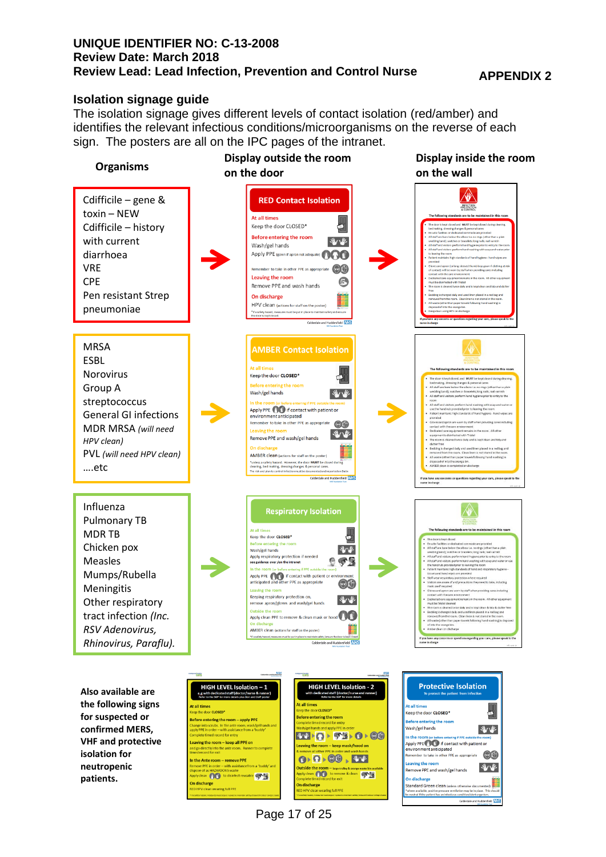#### **Isolation signage guide**

The isolation signage gives different levels of contact isolation (red/amber) and identifies the relevant infectious conditions/microorganisms on the reverse of each sign. The posters are all on the IPC pages of the intranet.



Page 17 of 25

Calderdale and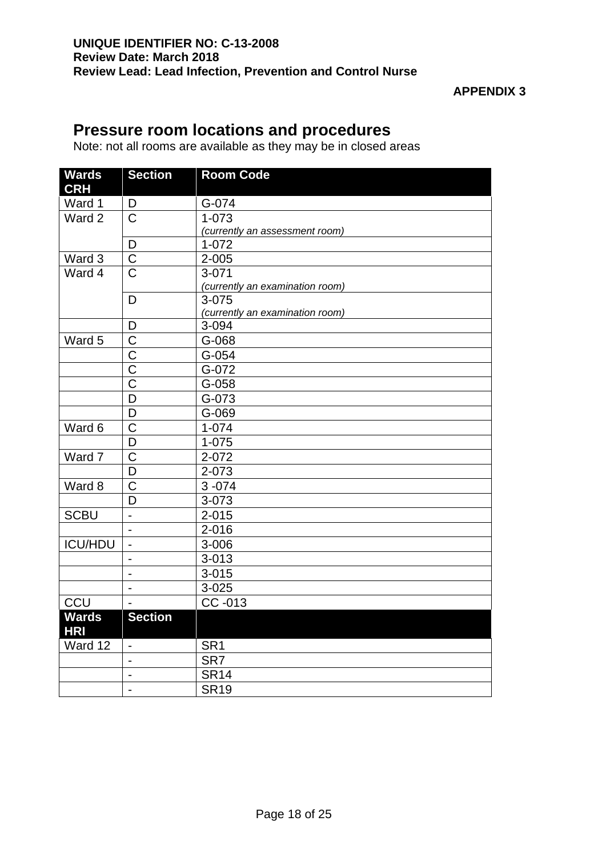## **Pressure room locations and procedures**

Note: not all rooms are available as they may be in closed areas

| <b>Section</b>           | <b>Room Code</b>                                                                                                                                                                                                                           |
|--------------------------|--------------------------------------------------------------------------------------------------------------------------------------------------------------------------------------------------------------------------------------------|
| D                        | G-074                                                                                                                                                                                                                                      |
| $\overline{\mathrm{C}}$  | $1 - 073$                                                                                                                                                                                                                                  |
|                          | (currently an assessment room)                                                                                                                                                                                                             |
| D                        | $1 - 072$                                                                                                                                                                                                                                  |
|                          | $2 - 005$                                                                                                                                                                                                                                  |
|                          | $3 - 071$                                                                                                                                                                                                                                  |
|                          | (currently an examination room)                                                                                                                                                                                                            |
|                          | 3-075                                                                                                                                                                                                                                      |
|                          | (currently an examination room)                                                                                                                                                                                                            |
|                          | 3-094                                                                                                                                                                                                                                      |
|                          | G-068                                                                                                                                                                                                                                      |
|                          | $G-054$                                                                                                                                                                                                                                    |
|                          | G-072                                                                                                                                                                                                                                      |
|                          | G-058                                                                                                                                                                                                                                      |
|                          | G-073                                                                                                                                                                                                                                      |
|                          | G-069                                                                                                                                                                                                                                      |
|                          | $1 - 074$                                                                                                                                                                                                                                  |
|                          | $1 - 075$                                                                                                                                                                                                                                  |
|                          | 2-072                                                                                                                                                                                                                                      |
|                          | 2-073                                                                                                                                                                                                                                      |
|                          | $3 - 074$                                                                                                                                                                                                                                  |
|                          | 3-073                                                                                                                                                                                                                                      |
|                          | $2 - 015$                                                                                                                                                                                                                                  |
| $\blacksquare$           | $2 - 016$                                                                                                                                                                                                                                  |
| $\blacksquare$           | 3-006                                                                                                                                                                                                                                      |
| $\overline{a}$           | $3 - 013$                                                                                                                                                                                                                                  |
| $\overline{a}$           | $3 - 015$                                                                                                                                                                                                                                  |
| $\overline{a}$           | $3 - 025$                                                                                                                                                                                                                                  |
|                          | CC -013                                                                                                                                                                                                                                    |
|                          |                                                                                                                                                                                                                                            |
| $\overline{\phantom{a}}$ | SR <sub>1</sub>                                                                                                                                                                                                                            |
| $\overline{\phantom{a}}$ | SR7                                                                                                                                                                                                                                        |
| $\overline{\phantom{a}}$ | <b>SR14</b>                                                                                                                                                                                                                                |
| $\blacksquare$           | <b>SR19</b>                                                                                                                                                                                                                                |
|                          | $\overline{C}$<br>$\overline{\text{C}}$<br>D<br>D<br>$\overline{C}$<br>$\mathsf C$<br>$\overline{\text{C}}$<br>$\overline{C}$<br>D<br>D<br>$\mathsf C$<br>D<br>$\overline{C}$<br>D<br>$\mathsf C$<br>D<br>$\overline{a}$<br><b>Section</b> |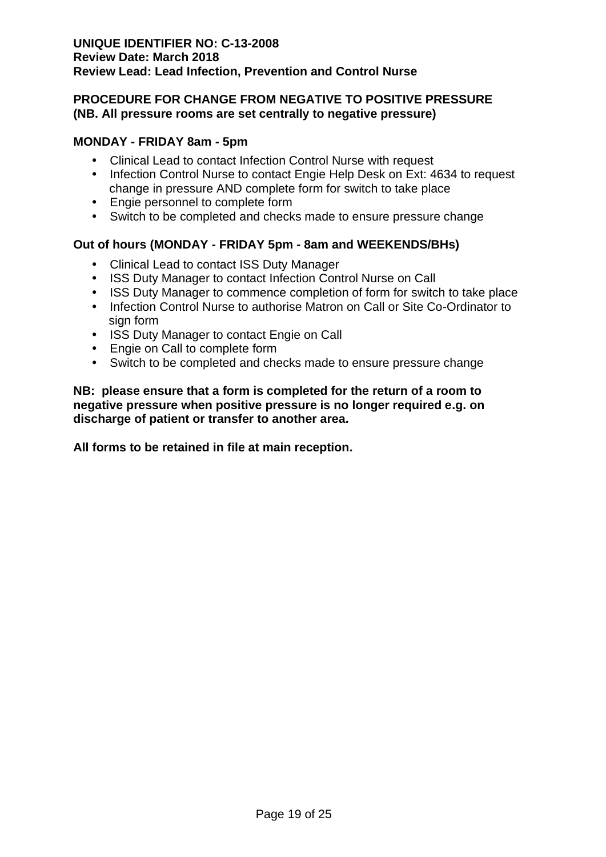## **PROCEDURE FOR CHANGE FROM NEGATIVE TO POSITIVE PRESSURE (NB. All pressure rooms are set centrally to negative pressure)**

## **MONDAY - FRIDAY 8am - 5pm**

- Clinical Lead to contact Infection Control Nurse with request
- Infection Control Nurse to contact Engie Help Desk on Ext: 4634 to request change in pressure AND complete form for switch to take place
- Engie personnel to complete form
- Switch to be completed and checks made to ensure pressure change

## **Out of hours (MONDAY - FRIDAY 5pm - 8am and WEEKENDS/BHs)**

- Clinical Lead to contact ISS Duty Manager
- ISS Duty Manager to contact Infection Control Nurse on Call
- ISS Duty Manager to commence completion of form for switch to take place
- Infection Control Nurse to authorise Matron on Call or Site Co-Ordinator to sign form
- ISS Duty Manager to contact Engie on Call
- Engie on Call to complete form
- Switch to be completed and checks made to ensure pressure change

## **NB: please ensure that a form is completed for the return of a room to negative pressure when positive pressure is no longer required e.g. on discharge of patient or transfer to another area.**

**All forms to be retained in file at main reception.**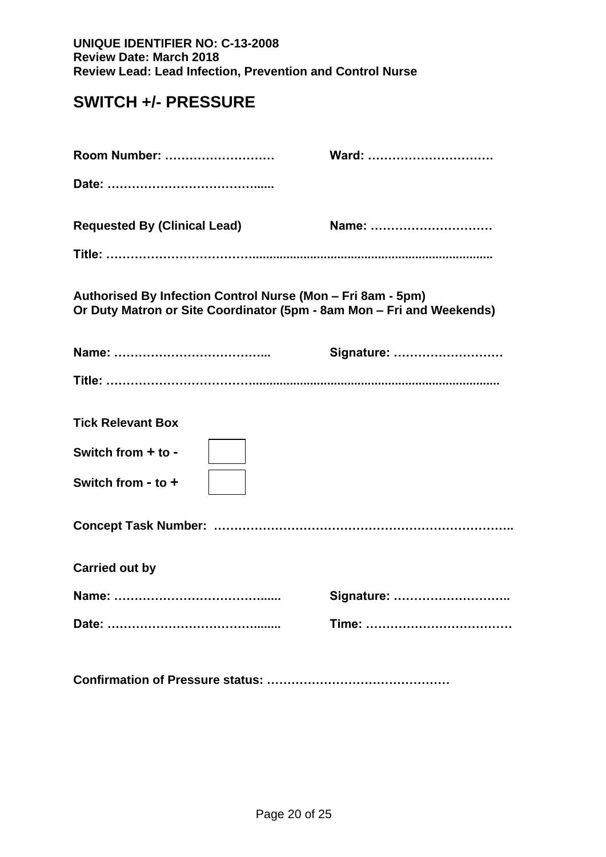# **SWITCH +/- PRESSURE**

| Room Number:                                                                                                                         | Ward:      |
|--------------------------------------------------------------------------------------------------------------------------------------|------------|
|                                                                                                                                      |            |
| <b>Requested By (Clinical Lead)</b>                                                                                                  | Name:      |
|                                                                                                                                      |            |
| Authorised By Infection Control Nurse (Mon – Fri 8am - 5pm)<br>Or Duty Matron or Site Coordinator (5pm - 8am Mon - Fri and Weekends) |            |
|                                                                                                                                      | Signature: |
|                                                                                                                                      |            |
| <b>Tick Relevant Box</b><br>Switch from $+$ to -<br>Switch from - to $+$                                                             |            |
|                                                                                                                                      |            |
| <b>Carried out by</b>                                                                                                                |            |
| Name:                                                                                                                                | Signature: |
|                                                                                                                                      |            |
|                                                                                                                                      |            |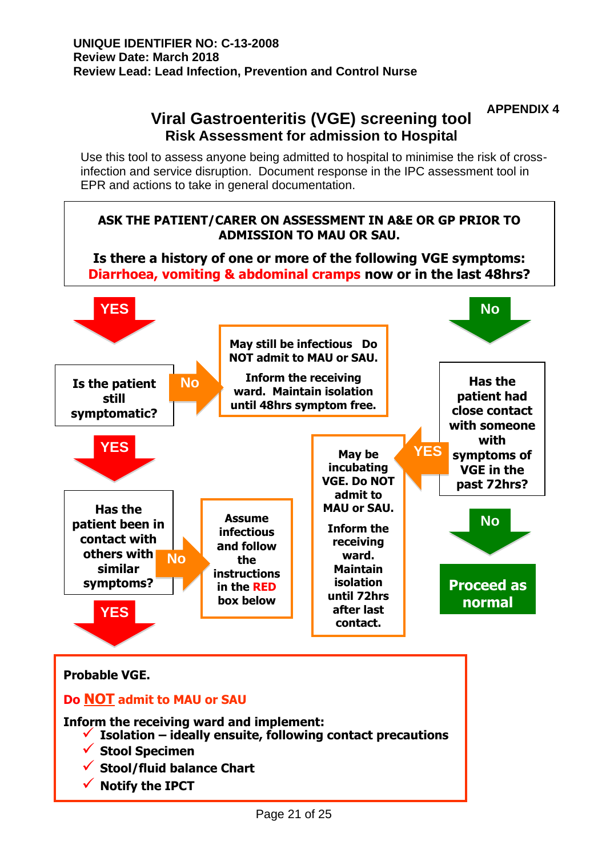# **APPENDIX 4 Viral Gastroenteritis (VGE) screening tool Risk Assessment for admission to Hospital**

Use this tool to assess anyone being admitted to hospital to minimise the risk of crossinfection and service disruption. Document response in the IPC assessment tool in EPR and actions to take in general documentation.



**Inform the receiving ward and implement:**

- ✓ **Isolation – ideally ensuite, following contact precautions**
- ✓ **Stool Specimen**
- ✓ **Stool/fluid balance Chart**
- **Notify the IPCT**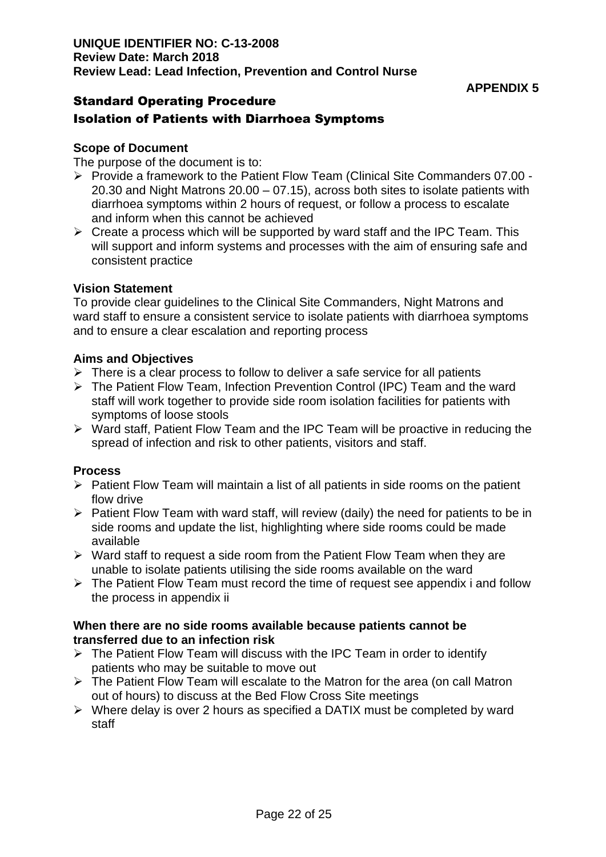## **APPENDIX 5**

## Standard Operating Procedure

## Isolation of Patients with Diarrhoea Symptoms

#### **Scope of Document**

The purpose of the document is to:

- ➢ Provide a framework to the Patient Flow Team (Clinical Site Commanders 07.00 20.30 and Night Matrons 20.00 – 07.15), across both sites to isolate patients with diarrhoea symptoms within 2 hours of request, or follow a process to escalate and inform when this cannot be achieved
- $\triangleright$  Create a process which will be supported by ward staff and the IPC Team. This will support and inform systems and processes with the aim of ensuring safe and consistent practice

#### **Vision Statement**

To provide clear guidelines to the Clinical Site Commanders, Night Matrons and ward staff to ensure a consistent service to isolate patients with diarrhoea symptoms and to ensure a clear escalation and reporting process

#### **Aims and Objectives**

- $\triangleright$  There is a clear process to follow to deliver a safe service for all patients
- ➢ The Patient Flow Team, Infection Prevention Control (IPC) Team and the ward staff will work together to provide side room isolation facilities for patients with symptoms of loose stools
- ➢ Ward staff, Patient Flow Team and the IPC Team will be proactive in reducing the spread of infection and risk to other patients, visitors and staff.

## **Process**

- ➢ Patient Flow Team will maintain a list of all patients in side rooms on the patient flow drive
- ➢ Patient Flow Team with ward staff, will review (daily) the need for patients to be in side rooms and update the list, highlighting where side rooms could be made available
- ➢ Ward staff to request a side room from the Patient Flow Team when they are unable to isolate patients utilising the side rooms available on the ward
- ➢ The Patient Flow Team must record the time of request see appendix i and follow the process in appendix ii

#### **When there are no side rooms available because patients cannot be transferred due to an infection risk**

- ➢ The Patient Flow Team will discuss with the IPC Team in order to identify patients who may be suitable to move out
- ➢ The Patient Flow Team will escalate to the Matron for the area (on call Matron out of hours) to discuss at the Bed Flow Cross Site meetings
- ➢ Where delay is over 2 hours as specified a DATIX must be completed by ward staff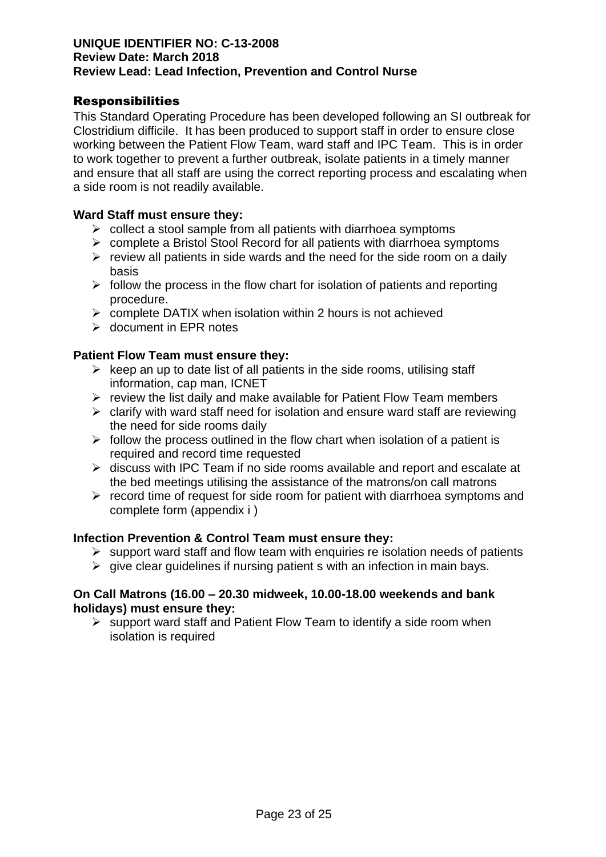## Responsibilities

This Standard Operating Procedure has been developed following an SI outbreak for Clostridium difficile. It has been produced to support staff in order to ensure close working between the Patient Flow Team, ward staff and IPC Team. This is in order to work together to prevent a further outbreak, isolate patients in a timely manner and ensure that all staff are using the correct reporting process and escalating when a side room is not readily available.

#### **Ward Staff must ensure they:**

- ➢ collect a stool sample from all patients with diarrhoea symptoms
- ➢ complete a Bristol Stool Record for all patients with diarrhoea symptoms
- $\triangleright$  review all patients in side wards and the need for the side room on a daily basis
- $\triangleright$  follow the process in the flow chart for isolation of patients and reporting procedure.
- ➢ complete DATIX when isolation within 2 hours is not achieved
- ➢ document in EPR notes

#### **Patient Flow Team must ensure they:**

- $\triangleright$  keep an up to date list of all patients in the side rooms, utilising staff information, cap man, ICNET
- $\triangleright$  review the list daily and make available for Patient Flow Team members
- $\triangleright$  clarify with ward staff need for isolation and ensure ward staff are reviewing the need for side rooms daily
- $\triangleright$  follow the process outlined in the flow chart when isolation of a patient is required and record time requested
- ➢ discuss with IPC Team if no side rooms available and report and escalate at the bed meetings utilising the assistance of the matrons/on call matrons
- $\triangleright$  record time of request for side room for patient with diarrhoea symptoms and complete form (appendix i )

## **Infection Prevention & Control Team must ensure they:**

- $\triangleright$  support ward staff and flow team with enquiries re isolation needs of patients
- $\triangleright$  give clear guidelines if nursing patient s with an infection in main bays.

#### **On Call Matrons (16.00 – 20.30 midweek, 10.00-18.00 weekends and bank holidays) must ensure they:**

 $\triangleright$  support ward staff and Patient Flow Team to identify a side room when isolation is required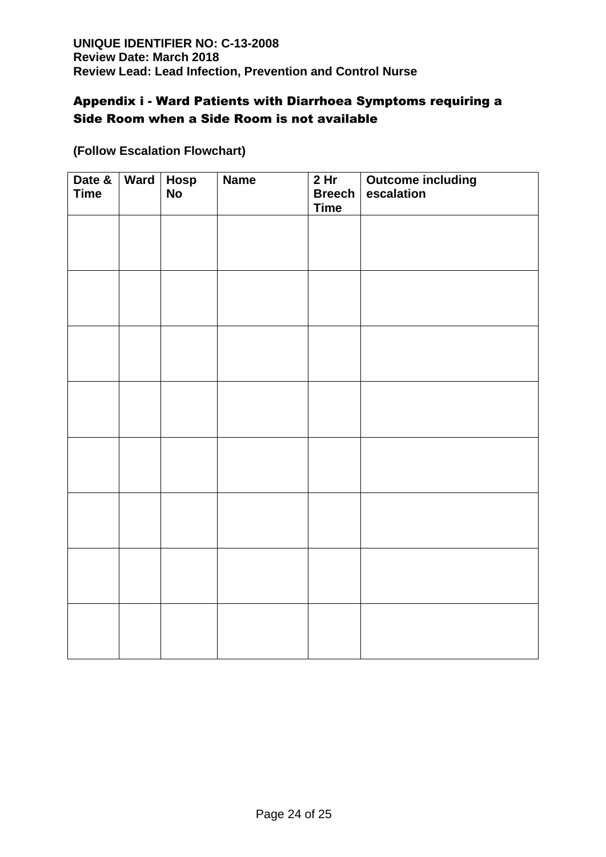## Appendix i - Ward Patients with Diarrhoea Symptoms requiring a Side Room when a Side Room is not available

| Date &<br><b>Time</b> | Ward Hosp | <b>No</b> | <b>Name</b> | 2 <sub>hr</sub><br><b>Breech</b><br><b>Time</b> | <b>Outcome including</b><br>escalation |
|-----------------------|-----------|-----------|-------------|-------------------------------------------------|----------------------------------------|
|                       |           |           |             |                                                 |                                        |
|                       |           |           |             |                                                 |                                        |
|                       |           |           |             |                                                 |                                        |
|                       |           |           |             |                                                 |                                        |
|                       |           |           |             |                                                 |                                        |
|                       |           |           |             |                                                 |                                        |
|                       |           |           |             |                                                 |                                        |
|                       |           |           |             |                                                 |                                        |
|                       |           |           |             |                                                 |                                        |
|                       |           |           |             |                                                 |                                        |
|                       |           |           |             |                                                 |                                        |
|                       |           |           |             |                                                 |                                        |
|                       |           |           |             |                                                 |                                        |
|                       |           |           |             |                                                 |                                        |
|                       |           |           |             |                                                 |                                        |
|                       |           |           |             |                                                 |                                        |

## **(Follow Escalation Flowchart)**